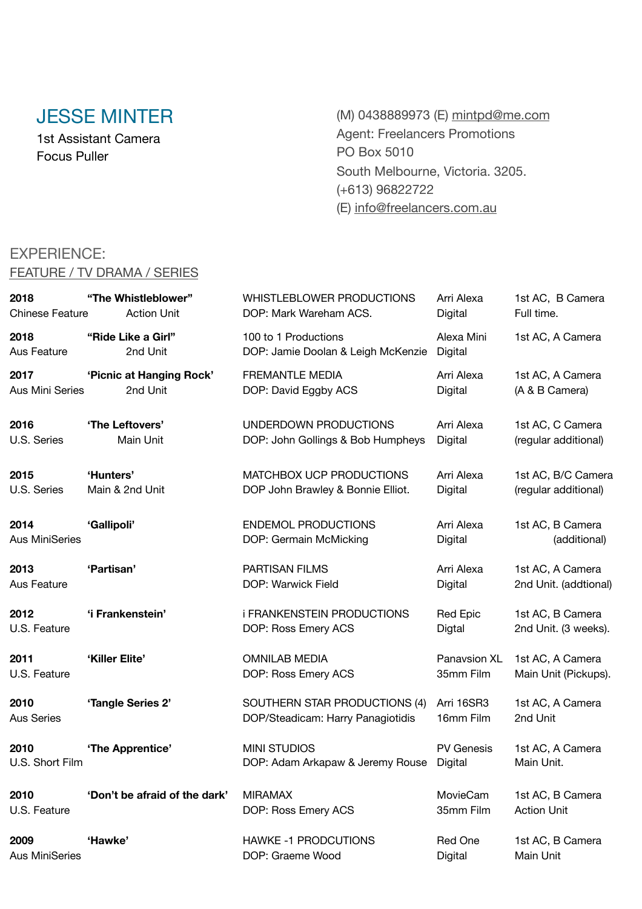# JESSE MINTER

1st Assistant Camera Focus Puller

(M) 0438889973 (E) [mintpd@me.com](mailto:mintpd@me.com) Agent: Freelancers Promotions PO Box 5010 South Melbourne, Victoria. 3205. (+613) 96822722 (E) [info@freelancers.com.au](mailto:info@freelancers.com.au)

### EXPERIENCE:

### FEATURE / TV DRAMA / SERIES

| 2018                   | "The Whistleblower"           | <b>WHISTLEBLOWER PRODUCTIONS</b>         | Arri Alexa        | 1st AC, B Camera      |
|------------------------|-------------------------------|------------------------------------------|-------------------|-----------------------|
| <b>Chinese Feature</b> | <b>Action Unit</b>            | DOP: Mark Wareham ACS.                   | Digital           | Full time.            |
| 2018                   | "Ride Like a Girl"            | 100 to 1 Productions                     | Alexa Mini        | 1st AC, A Camera      |
| Aus Feature            | 2nd Unit                      | DOP: Jamie Doolan & Leigh McKenzie       | Digital           |                       |
| 2017                   | 'Picnic at Hanging Rock'      | <b>FREMANTLE MEDIA</b>                   | Arri Alexa        | 1st AC, A Camera      |
| Aus Mini Series        | 2nd Unit                      | DOP: David Eggby ACS                     | Digital           | (A & B Camera)        |
| 2016                   | 'The Leftovers'               | UNDERDOWN PRODUCTIONS                    | Arri Alexa        | 1st AC, C Camera      |
| U.S. Series            | Main Unit                     | DOP: John Gollings & Bob Humpheys        | Digital           | (regular additional)  |
| 2015                   | 'Hunters'                     | MATCHBOX UCP PRODUCTIONS                 | Arri Alexa        | 1st AC, B/C Camera    |
| U.S. Series            | Main & 2nd Unit               | DOP John Brawley & Bonnie Elliot.        | Digital           | (regular additional)  |
| 2014                   | 'Gallipoli'                   | <b>ENDEMOL PRODUCTIONS</b>               | Arri Alexa        | 1st AC, B Camera      |
| <b>Aus MiniSeries</b>  |                               | DOP: Germain McMicking                   | Digital           | (additional)          |
| 2013                   | 'Partisan'                    | <b>PARTISAN FILMS</b>                    | Arri Alexa        | 1st AC, A Camera      |
| Aus Feature            |                               | DOP: Warwick Field                       | Digital           | 2nd Unit. (addtional) |
| 2012                   | 'i Frankenstein'              | <b><i>i FRANKENSTEIN PRODUCTIONS</i></b> | Red Epic          | 1st AC, B Camera      |
| U.S. Feature           |                               | DOP: Ross Emery ACS                      | Digtal            | 2nd Unit. (3 weeks).  |
| 2011                   | 'Killer Elite'                | <b>OMNILAB MEDIA</b>                     | Panavsion XL      | 1st AC, A Camera      |
| U.S. Feature           |                               | DOP: Ross Emery ACS                      | 35mm Film         | Main Unit (Pickups).  |
| 2010                   | 'Tangle Series 2'             | SOUTHERN STAR PRODUCTIONS (4)            | Arri 16SR3        | 1st AC, A Camera      |
| <b>Aus Series</b>      |                               | DOP/Steadicam: Harry Panagiotidis        | 16mm Film         | 2nd Unit              |
| 2010                   | 'The Apprentice'              | <b>MINI STUDIOS</b>                      | <b>PV Genesis</b> | 1st AC, A Camera      |
| U.S. Short Film        |                               | DOP: Adam Arkapaw & Jeremy Rouse         | Digital           | Main Unit.            |
| 2010                   | 'Don't be afraid of the dark' | <b>MIRAMAX</b>                           | MovieCam          | 1st AC, B Camera      |
| U.S. Feature           |                               | DOP: Ross Emery ACS                      | 35mm Film         | <b>Action Unit</b>    |
| 2009                   | 'Hawke'                       | <b>HAWKE -1 PRODCUTIONS</b>              | Red One           | 1st AC, B Camera      |
| <b>Aus MiniSeries</b>  |                               | DOP: Graeme Wood                         | Digital           | Main Unit             |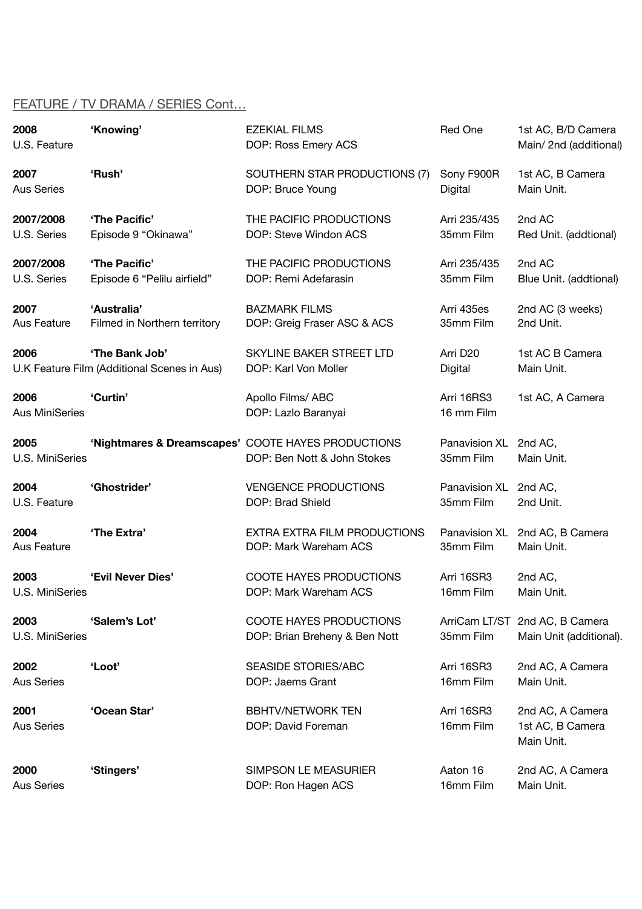### FEATURE / TV DRAMA / SERIES Cont…

| 2008<br>U.S. Feature          | 'Knowing'                                   | <b>EZEKIAL FILMS</b><br>DOP: Ross Emery ACS                     | Red One                  | 1st AC, B/D Camera<br>Main/2nd (additional)               |
|-------------------------------|---------------------------------------------|-----------------------------------------------------------------|--------------------------|-----------------------------------------------------------|
| 2007                          | 'Rush'                                      | SOUTHERN STAR PRODUCTIONS (7)                                   | Sony F900R               | 1st AC, B Camera                                          |
| <b>Aus Series</b>             |                                             | DOP: Bruce Young                                                | Digital                  | Main Unit.                                                |
| 2007/2008                     | 'The Pacific'                               | THE PACIFIC PRODUCTIONS                                         | Arri 235/435             | 2nd AC                                                    |
| U.S. Series                   | Episode 9 "Okinawa"                         | DOP: Steve Windon ACS                                           | 35mm Film                | Red Unit. (addtional)                                     |
| 2007/2008                     | 'The Pacific'                               | THE PACIFIC PRODUCTIONS                                         | Arri 235/435             | 2nd AC                                                    |
| U.S. Series                   | Episode 6 "Pelilu airfield"                 | DOP: Remi Adefarasin                                            | 35mm Film                | Blue Unit. (addtional)                                    |
| 2007                          | 'Australia'                                 | <b>BAZMARK FILMS</b>                                            | Arri 435es               | 2nd AC (3 weeks)                                          |
| Aus Feature                   | Filmed in Northern territory                | DOP: Greig Fraser ASC & ACS                                     | 35mm Film                | 2nd Unit.                                                 |
| 2006                          | 'The Bank Job'                              | SKYLINE BAKER STREET LTD                                        | Arri D <sub>20</sub>     | 1st AC B Camera                                           |
|                               | U.K Feature Film (Additional Scenes in Aus) | DOP: Karl Von Moller                                            | Digital                  | Main Unit.                                                |
| 2006<br><b>Aus MiniSeries</b> | 'Curtin'                                    | Apollo Films/ ABC<br>DOP: Lazlo Baranyai                        | Arri 16RS3<br>16 mm Film | 1st AC, A Camera                                          |
| 2005                          |                                             | 'Nightmares & Dreamscapes' COOTE HAYES PRODUCTIONS              | Panavision XL            | 2nd AC,                                                   |
| U.S. MiniSeries               |                                             | DOP: Ben Nott & John Stokes                                     | 35mm Film                | Main Unit.                                                |
| 2004                          | 'Ghostrider'                                | <b>VENGENCE PRODUCTIONS</b>                                     | Panavision XL            | 2nd AC,                                                   |
| U.S. Feature                  |                                             | DOP: Brad Shield                                                | 35mm Film                | 2nd Unit.                                                 |
| 2004                          | 'The Extra'                                 | EXTRA EXTRA FILM PRODUCTIONS                                    | Panavision XL            | 2nd AC, B Camera                                          |
| Aus Feature                   |                                             | DOP: Mark Wareham ACS                                           | 35mm Film                | Main Unit.                                                |
| 2003                          | 'Evil Never Dies'                           | <b>COOTE HAYES PRODUCTIONS</b>                                  | Arri 16SR3               | 2nd AC,                                                   |
| U.S. MiniSeries               |                                             | DOP: Mark Wareham ACS                                           | 16mm Film                | Main Unit.                                                |
| 2003<br>U.S. MiniSeries       | 'Salem's Lot'                               | <b>COOTE HAYES PRODUCTIONS</b><br>DOP: Brian Breheny & Ben Nott | 35mm Film                | ArriCam LT/ST 2nd AC, B Camera<br>Main Unit (additional). |
| 2002                          | 'Loot'                                      | <b>SEASIDE STORIES/ABC</b>                                      | Arri 16SR3               | 2nd AC, A Camera                                          |
| <b>Aus Series</b>             |                                             | DOP: Jaems Grant                                                | 16mm Film                | Main Unit.                                                |
| 2001<br><b>Aus Series</b>     | 'Ocean Star'                                | <b>BBHTV/NETWORK TEN</b><br>DOP: David Foreman                  | Arri 16SR3<br>16mm Film  | 2nd AC, A Camera<br>1st AC, B Camera<br>Main Unit.        |
| 2000                          | 'Stingers'                                  | SIMPSON LE MEASURIER                                            | Aaton 16                 | 2nd AC, A Camera                                          |
| <b>Aus Series</b>             |                                             | DOP: Ron Hagen ACS                                              | 16mm Film                | Main Unit.                                                |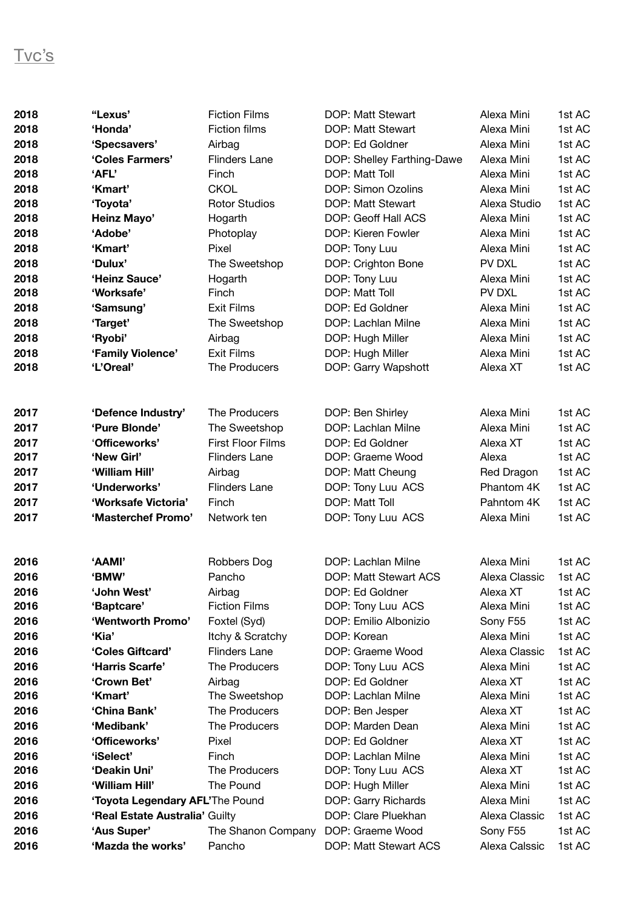| 2018 | "Lexus'                         | <b>Fiction Films</b>     | DOP: Matt Stewart          | Alexa Mini    | 1st AC |
|------|---------------------------------|--------------------------|----------------------------|---------------|--------|
| 2018 | 'Honda'                         | <b>Fiction films</b>     | DOP: Matt Stewart          | Alexa Mini    | 1st AC |
| 2018 | 'Specsavers'                    | Airbag                   | DOP: Ed Goldner            | Alexa Mini    | 1st AC |
| 2018 | 'Coles Farmers'                 | <b>Flinders Lane</b>     | DOP: Shelley Farthing-Dawe | Alexa Mini    | 1st AC |
| 2018 | 'AFL'                           | Finch                    | DOP: Matt Toll             | Alexa Mini    | 1st AC |
| 2018 | 'Kmart'                         | <b>CKOL</b>              | DOP: Simon Ozolins         | Alexa Mini    | 1st AC |
| 2018 | 'Toyota'                        | <b>Rotor Studios</b>     | DOP: Matt Stewart          | Alexa Studio  | 1st AC |
| 2018 | <b>Heinz Mayo'</b>              | Hogarth                  | DOP: Geoff Hall ACS        | Alexa Mini    | 1st AC |
| 2018 | 'Adobe'                         | Photoplay                | DOP: Kieren Fowler         | Alexa Mini    | 1st AC |
| 2018 | 'Kmart'                         | Pixel                    | DOP: Tony Luu              | Alexa Mini    | 1st AC |
| 2018 | 'Dulux'                         | The Sweetshop            | DOP: Crighton Bone         | PV DXL        | 1st AC |
| 2018 | 'Heinz Sauce'                   | Hogarth                  | DOP: Tony Luu              | Alexa Mini    | 1st AC |
| 2018 | 'Worksafe'                      | Finch                    | DOP: Matt Toll             | PV DXL        | 1st AC |
| 2018 | 'Samsung'                       | <b>Exit Films</b>        | DOP: Ed Goldner            | Alexa Mini    | 1st AC |
| 2018 | 'Target'                        | The Sweetshop            | DOP: Lachlan Milne         | Alexa Mini    | 1st AC |
| 2018 | 'Ryobi'                         | Airbag                   | DOP: Hugh Miller           | Alexa Mini    | 1st AC |
| 2018 | 'Family Violence'               | <b>Exit Films</b>        | DOP: Hugh Miller           | Alexa Mini    | 1st AC |
| 2018 | 'L'Oreal'                       | The Producers            | DOP: Garry Wapshott        | Alexa XT      | 1st AC |
|      |                                 |                          |                            |               |        |
| 2017 | 'Defence Industry'              | The Producers            | DOP: Ben Shirley           | Alexa Mini    | 1st AC |
| 2017 | 'Pure Blonde'                   | The Sweetshop            | DOP: Lachlan Milne         | Alexa Mini    | 1st AC |
| 2017 | 'Officeworks'                   | <b>First Floor Films</b> | DOP: Ed Goldner            | Alexa XT      | 1st AC |
| 2017 | 'New Girl'                      | <b>Flinders Lane</b>     | DOP: Graeme Wood           | Alexa         | 1st AC |
| 2017 | 'William Hill'                  | Airbag                   | DOP: Matt Cheung           | Red Dragon    | 1st AC |
| 2017 | 'Underworks'                    | Flinders Lane            | DOP: Tony Luu ACS          | Phantom 4K    | 1st AC |
| 2017 | 'Worksafe Victoria'             | Finch                    | DOP: Matt Toll             | Pahntom 4K    | 1st AC |
| 2017 | 'Masterchef Promo'              | Network ten              | DOP: Tony Luu ACS          | Alexa Mini    | 1st AC |
|      |                                 |                          |                            |               |        |
| 2016 | 'AAMI'                          | <b>Robbers Dog</b>       | DOP: Lachlan Milne         | Alexa Mini    | 1st AC |
| 2016 | 'BMW'                           | Pancho                   | DOP: Matt Stewart ACS      | Alexa Classic | 1st AC |
| 2016 | 'John West'                     | Airbag                   | DOP: Ed Goldner            | Alexa XT      | 1st AC |
| 2016 | 'Baptcare'                      | <b>Fiction Films</b>     | DOP: Tony Luu ACS          | Alexa Mini    | 1st AC |
| 2016 | 'Wentworth Promo'               | Foxtel (Syd)             | DOP: Emilio Albonizio      | Sony F55      | 1st AC |
| 2016 | 'Kia'                           | Itchy & Scratchy         | DOP: Korean                | Alexa Mini    | 1st AC |
| 2016 | 'Coles Giftcard'                | <b>Flinders Lane</b>     | DOP: Graeme Wood           | Alexa Classic | 1st AC |
| 2016 | 'Harris Scarfe'                 | The Producers            | DOP: Tony Luu ACS          | Alexa Mini    | 1st AC |
| 2016 | 'Crown Bet'                     | Airbag                   | DOP: Ed Goldner            | Alexa XT      | 1st AC |
| 2016 | 'Kmart'                         | The Sweetshop            | DOP: Lachlan Milne         | Alexa Mini    | 1st AC |
| 2016 | 'China Bank'                    | The Producers            | DOP: Ben Jesper            | Alexa XT      | 1st AC |
| 2016 | 'Medibank'                      | The Producers            | DOP: Marden Dean           | Alexa Mini    | 1st AC |
| 2016 | 'Officeworks'                   | Pixel                    | DOP: Ed Goldner            | Alexa XT      | 1st AC |
| 2016 | 'iSelect'                       | Finch                    | DOP: Lachlan Milne         | Alexa Mini    | 1st AC |
| 2016 | 'Deakin Uni'                    | The Producers            | DOP: Tony Luu ACS          | Alexa XT      | 1st AC |
| 2016 | 'William Hill'                  | The Pound                | DOP: Hugh Miller           | Alexa Mini    | 1st AC |
| 2016 | 'Toyota Legendary AFL'The Pound |                          | DOP: Garry Richards        | Alexa Mini    | 1st AC |
| 2016 | 'Real Estate Australia' Guilty  |                          | DOP: Clare Pluekhan        | Alexa Classic | 1st AC |
| 2016 | 'Aus Super'                     | The Shanon Company       | DOP: Graeme Wood           | Sony F55      | 1st AC |
| 2016 | 'Mazda the works'               | Pancho                   | DOP: Matt Stewart ACS      | Alexa Calssic | 1st AC |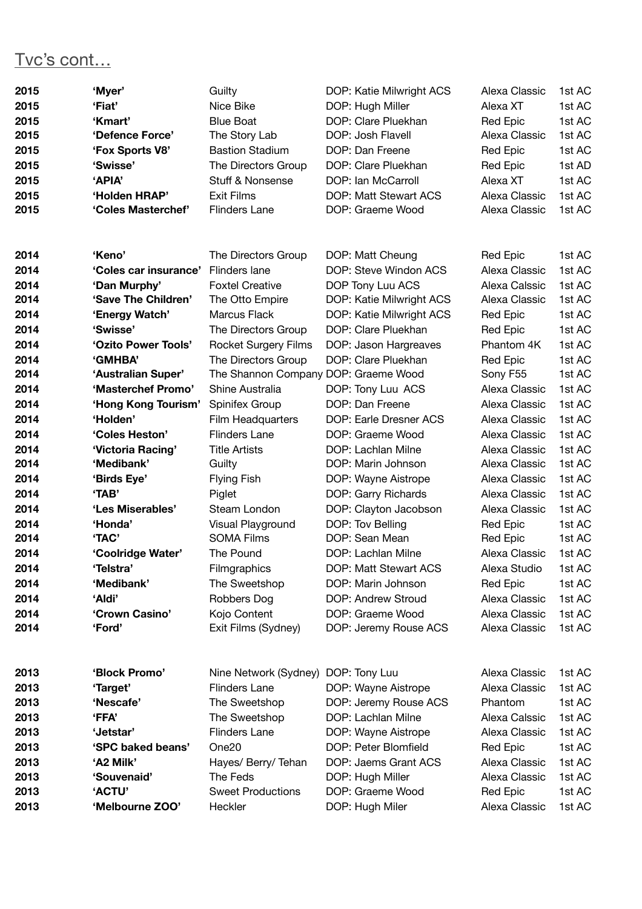## Tvc's cont…

| 2015 | 'Myer'                | Guilty                               | DOP: Katie Milwright ACS | Alexa Classic   | 1st AC |
|------|-----------------------|--------------------------------------|--------------------------|-----------------|--------|
| 2015 | 'Fiat'                | Nice Bike                            | DOP: Hugh Miller         | Alexa XT        | 1st AC |
| 2015 | 'Kmart'               | <b>Blue Boat</b>                     | DOP: Clare Pluekhan      | Red Epic        | 1st AC |
| 2015 | 'Defence Force'       | The Story Lab                        | DOP: Josh Flavell        | Alexa Classic   | 1st AC |
| 2015 | 'Fox Sports V8'       | <b>Bastion Stadium</b>               | DOP: Dan Freene          | Red Epic        | 1st AC |
| 2015 | 'Swisse'              | The Directors Group                  | DOP: Clare Pluekhan      | Red Epic        | 1st AD |
| 2015 | 'APIA'                | Stuff & Nonsense                     | DOP: Ian McCarroll       | Alexa XT        | 1st AC |
| 2015 | 'Holden HRAP'         | <b>Exit Films</b>                    | DOP: Matt Stewart ACS    | Alexa Classic   | 1st AC |
| 2015 | 'Coles Masterchef'    | <b>Flinders Lane</b>                 | DOP: Graeme Wood         | Alexa Classic   | 1st AC |
|      |                       |                                      |                          |                 |        |
| 2014 | 'Keno'                | The Directors Group                  | DOP: Matt Cheung         | Red Epic        | 1st AC |
| 2014 | 'Coles car insurance' | Flinders lane                        | DOP: Steve Windon ACS    | Alexa Classic   | 1st AC |
| 2014 | 'Dan Murphy'          | <b>Foxtel Creative</b>               | DOP Tony Luu ACS         | Alexa Calssic   | 1st AC |
| 2014 | 'Save The Children'   | The Otto Empire                      | DOP: Katie Milwright ACS | Alexa Classic   | 1st AC |
| 2014 | 'Energy Watch'        | Marcus Flack                         | DOP: Katie Milwright ACS | Red Epic        | 1st AC |
| 2014 | 'Swisse'              | The Directors Group                  | DOP: Clare Pluekhan      | Red Epic        | 1st AC |
| 2014 | 'Ozito Power Tools'   | <b>Rocket Surgery Films</b>          | DOP: Jason Hargreaves    | Phantom 4K      | 1st AC |
| 2014 | 'GMHBA'               | The Directors Group                  | DOP: Clare Pluekhan      | <b>Red Epic</b> | 1st AC |
| 2014 | 'Australian Super'    | The Shannon Company DOP: Graeme Wood |                          | Sony F55        | 1st AC |
| 2014 | 'Masterchef Promo'    | Shine Australia                      | DOP: Tony Luu ACS        | Alexa Classic   | 1st AC |
| 2014 | 'Hong Kong Tourism'   | Spinifex Group                       | DOP: Dan Freene          | Alexa Classic   | 1st AC |
| 2014 | 'Holden'              | Film Headquarters                    | DOP: Earle Dresner ACS   | Alexa Classic   | 1st AC |
| 2014 | 'Coles Heston'        | <b>Flinders Lane</b>                 | DOP: Graeme Wood         | Alexa Classic   | 1st AC |
| 2014 | 'Victoria Racing'     | <b>Title Artists</b>                 | DOP: Lachlan Milne       | Alexa Classic   | 1st AC |
| 2014 | 'Medibank'            | Guilty                               | DOP: Marin Johnson       | Alexa Classic   | 1st AC |
| 2014 | 'Birds Eye'           | <b>Flying Fish</b>                   | DOP: Wayne Aistrope      | Alexa Classic   | 1st AC |
| 2014 | 'TAB'                 | Piglet                               | DOP: Garry Richards      | Alexa Classic   | 1st AC |
| 2014 | 'Les Miserables'      | Steam London                         | DOP: Clayton Jacobson    | Alexa Classic   | 1st AC |
| 2014 | 'Honda'               | Visual Playground                    | DOP: Tov Belling         | Red Epic        | 1st AC |
| 2014 | 'TAC'                 | <b>SOMA Films</b>                    | DOP: Sean Mean           | Red Epic        | 1st AC |
| 2014 | 'Coolridge Water'     | The Pound                            | DOP: Lachlan Milne       | Alexa Classic   | 1st AC |
| 2014 | 'Telstra'             | Filmgraphics                         | DOP: Matt Stewart ACS    | Alexa Studio    | 1st AC |
| 2014 | 'Medibank'            | The Sweetshop                        | DOP: Marin Johnson       | Red Epic        | 1st AC |
| 2014 | 'Aldi'                | Robbers Dog                          | DOP: Andrew Stroud       | Alexa Classic   | 1st AC |
| 2014 | 'Crown Casino'        | Kojo Content                         | DOP: Graeme Wood         | Alexa Classic   | 1st AC |
| 2014 | 'Ford'                | Exit Films (Sydney)                  | DOP: Jeremy Rouse ACS    | Alexa Classic   | 1st AC |
| 2013 | 'Block Promo'         | Nine Network (Sydney)                | DOP: Tony Luu            | Alexa Classic   | 1st AC |
| 2013 | 'Target'              | <b>Flinders Lane</b>                 | DOP: Wayne Aistrope      | Alexa Classic   | 1st AC |
| 2013 | 'Nescafe'             | The Sweetshop                        | DOP: Jeremy Rouse ACS    | Phantom         | 1st AC |
| 2013 | <b>'FFA'</b>          | The Sweetshop                        | DOP: Lachlan Milne       | Alexa Calssic   | 1st AC |
| 2013 | 'Jetstar'             | <b>Flinders Lane</b>                 | DOP: Wayne Aistrope      | Alexa Classic   | 1st AC |
| 2013 | 'SPC baked beans'     | One <sub>20</sub>                    | DOP: Peter Blomfield     | Red Epic        | 1st AC |
| 2013 | 'A2 Milk'             | Hayes/ Berry/ Tehan                  | DOP: Jaems Grant ACS     | Alexa Classic   | 1st AC |
| 2013 | 'Souvenaid'           | The Feds                             | DOP: Hugh Miller         | Alexa Classic   | 1st AC |
| 2013 | 'ACTU'                | <b>Sweet Productions</b>             | DOP: Graeme Wood         | Red Epic        | 1st AC |
| 2013 | 'Melbourne ZOO'       | Heckler                              | DOP: Hugh Miler          | Alexa Classic   | 1st AC |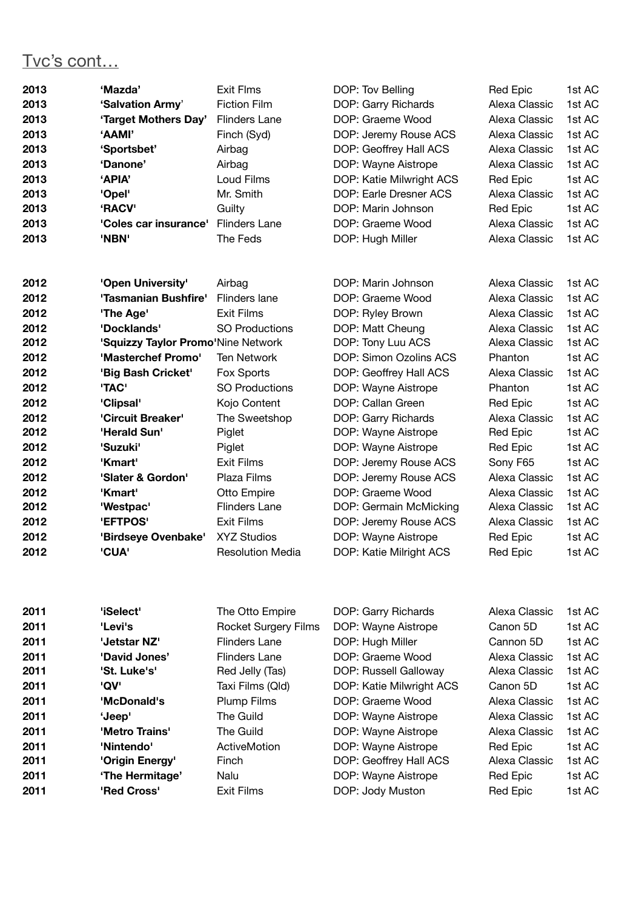# Tvc's cont…

| 2013 | 'Mazda'                            | <b>Exit Flms</b>        | DOP: Tov Belling         | Red Epic        | 1st AC |
|------|------------------------------------|-------------------------|--------------------------|-----------------|--------|
| 2013 | 'Salvation Army'                   | <b>Fiction Film</b>     | DOP: Garry Richards      | Alexa Classic   | 1st AC |
| 2013 | 'Target Mothers Day'               | <b>Flinders Lane</b>    | DOP: Graeme Wood         | Alexa Classic   | 1st AC |
| 2013 | 'AAMI'                             | Finch (Syd)             | DOP: Jeremy Rouse ACS    | Alexa Classic   | 1st AC |
| 2013 | 'Sportsbet'                        | Airbag                  | DOP: Geoffrey Hall ACS   | Alexa Classic   | 1st AC |
| 2013 | 'Danone'                           | Airbag                  | DOP: Wayne Aistrope      | Alexa Classic   | 1st AC |
| 2013 | 'APIA'                             | Loud Films              | DOP: Katie Milwright ACS | <b>Red Epic</b> | 1st AC |
| 2013 | 'Opel'                             | Mr. Smith               | DOP: Earle Dresner ACS   | Alexa Classic   | 1st AC |
| 2013 | 'RACV'                             | Guilty                  | DOP: Marin Johnson       | Red Epic        | 1st AC |
| 2013 | 'Coles car insurance'              | <b>Flinders Lane</b>    | DOP: Graeme Wood         | Alexa Classic   | 1st AC |
| 2013 | 'NBN'                              | The Feds                | DOP: Hugh Miller         | Alexa Classic   | 1st AC |
|      |                                    |                         |                          |                 |        |
| 2012 | 'Open University'                  | Airbag                  | DOP: Marin Johnson       | Alexa Classic   | 1st AC |
| 2012 | 'Tasmanian Bushfire'               | Flinders lane           | DOP: Graeme Wood         | Alexa Classic   | 1st AC |
| 2012 | 'The Age'                          | <b>Exit Films</b>       | DOP: Ryley Brown         | Alexa Classic   | 1st AC |
| 2012 | 'Docklands'                        | <b>SO Productions</b>   | DOP: Matt Cheung         | Alexa Classic   | 1st AC |
| 2012 | 'Squizzy Taylor Promo'Nine Network |                         | DOP: Tony Luu ACS        | Alexa Classic   | 1st AC |
| 2012 | 'Masterchef Promo'                 | <b>Ten Network</b>      | DOP: Simon Ozolins ACS   | Phanton         | 1st AC |
| 2012 | 'Big Bash Cricket'                 | Fox Sports              | DOP: Geoffrey Hall ACS   | Alexa Classic   | 1st AC |
| 2012 | 'TAC'                              | <b>SO Productions</b>   | DOP: Wayne Aistrope      | Phanton         | 1st AC |
| 2012 | 'Clipsal'                          | Kojo Content            | DOP: Callan Green        | <b>Red Epic</b> | 1st AC |
| 2012 | 'Circuit Breaker'                  | The Sweetshop           | DOP: Garry Richards      | Alexa Classic   | 1st AC |
| 2012 | 'Herald Sun'                       | Piglet                  | DOP: Wayne Aistrope      | Red Epic        | 1st AC |
| 2012 | 'Suzuki'                           | Piglet                  | DOP: Wayne Aistrope      | Red Epic        | 1st AC |
| 2012 | 'Kmart'                            | <b>Exit Films</b>       | DOP: Jeremy Rouse ACS    | Sony F65        | 1st AC |
| 2012 | 'Slater & Gordon'                  | Plaza Films             | DOP: Jeremy Rouse ACS    | Alexa Classic   | 1st AC |
| 2012 | 'Kmart'                            | Otto Empire             | DOP: Graeme Wood         | Alexa Classic   | 1st AC |
| 2012 | 'Westpac'                          | <b>Flinders Lane</b>    | DOP: Germain McMicking   | Alexa Classic   | 1st AC |
| 2012 | 'EFTPOS'                           | <b>Exit Films</b>       | DOP: Jeremy Rouse ACS    | Alexa Classic   | 1st AC |
| 2012 | 'Birdseye Ovenbake'                | <b>XYZ Studios</b>      | DOP: Wayne Aistrope      | Red Epic        | 1st AC |
| 2012 | 'CUA'                              | <b>Resolution Media</b> | DOP: Katie Milright ACS  | Red Epic        | 1st AC |
|      |                                    |                         |                          |                 |        |

| 2011 | 'iSelect'       | The Otto Empire      | DOP: Garry Richards      | Alexa Classic | 1st AC |
|------|-----------------|----------------------|--------------------------|---------------|--------|
| 2011 | 'Levi's         | Rocket Surgery Films | DOP: Wayne Aistrope      | Canon 5D      | 1st AC |
| 2011 | 'Jetstar NZ'    | <b>Flinders Lane</b> | DOP: Hugh Miller         | Cannon 5D     | 1st AC |
| 2011 | 'David Jones'   | <b>Flinders Lane</b> | DOP: Graeme Wood         | Alexa Classic | 1st AC |
| 2011 | 'St. Luke's'    | Red Jelly (Tas)      | DOP: Russell Galloway    | Alexa Classic | 1st AC |
| 2011 | 'QV'            | Taxi Films (Qld)     | DOP: Katie Milwright ACS | Canon 5D      | 1st AC |
| 2011 | 'McDonald's     | Plump Films          | DOP: Graeme Wood         | Alexa Classic | 1st AC |
| 2011 | 'Jeep'          | The Guild            | DOP: Wayne Aistrope      | Alexa Classic | 1st AC |
| 2011 | 'Metro Trains'  | The Guild            | DOP: Wayne Aistrope      | Alexa Classic | 1st AC |
| 2011 | 'Nintendo'      | ActiveMotion         | DOP: Wayne Aistrope      | Red Epic      | 1st AC |
| 2011 | 'Origin Energy' | Finch                | DOP: Geoffrey Hall ACS   | Alexa Classic | 1st AC |
| 2011 | 'The Hermitage' | Nalu                 | DOP: Wayne Aistrope      | Red Epic      | 1st AC |
| 2011 | 'Red Cross'     | <b>Exit Films</b>    | DOP: Jody Muston         | Red Epic      | 1st AC |
|      |                 |                      |                          |               |        |